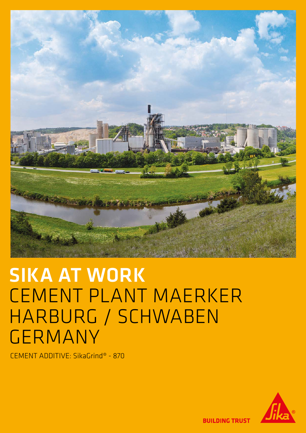

# SIKA AT WORK CEMENT PLANT MAERKER HARBURG / SCHWABEN GERMANY

CEMENT ADDITIVE: SikaGrind® - 870



**BUILDING TRUST**